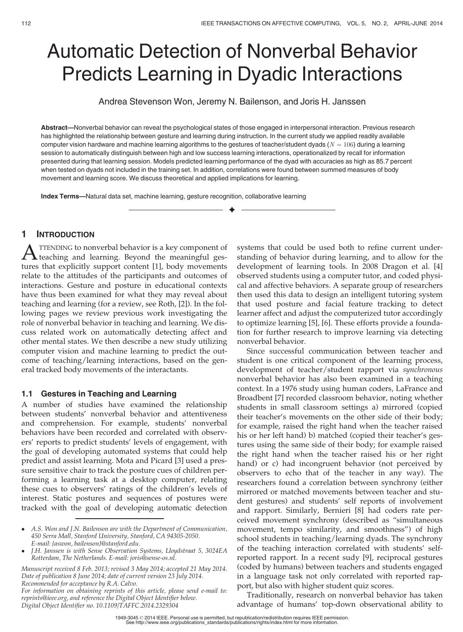# Automatic Detection of Nonverbal Behavior Predicts Learning in Dyadic Interactions

Andrea Stevenson Won, Jeremy N. Bailenson, and Joris H. Janssen

Abstract—Nonverbal behavior can reveal the psychological states of those engaged in interpersonal interaction. Previous research has highlighted the relationship between gesture and learning during instruction. In the current study we applied readily available computer vision hardware and machine learning algorithms to the gestures of teacher/student dyads ( $N = 106$ ) during a learning session to automatically distinguish between high and low success learning interactions, operationalized by recall for information presented during that learning session. Models predicted learning performance of the dyad with accuracies as high as 85.7 percent when tested on dyads not included in the training set. In addition, correlations were found between summed measures of body movement and learning score. We discuss theoretical and applied implications for learning.

 $\bigstar$ 

Index Terms—Natural data set, machine learning, gesture recognition, collaborative learning

# 1 INTRODUCTION

A TTENDING to nonverbal behavior is a key component of<br>teaching and learning. Beyond the meaningful gestures that explicitly support content [1], body movements relate to the attitudes of the participants and outcomes of interactions. Gesture and posture in educational contexts have thus been examined for what they may reveal about teaching and learning (for a review, see Roth, [2]). In the following pages we review previous work investigating the role of nonverbal behavior in teaching and learning. We discuss related work on automatically detecting affect and other mental states. We then describe a new study utilizing computer vision and machine learning to predict the outcome of teaching/learning interactions, based on the general tracked body movements of the interactants.

# 1.1 Gestures in Teaching and Learning

A number of studies have examined the relationship between students' nonverbal behavior and attentiveness and comprehension. For example, students' nonverbal behaviors have been recorded and correlated with observers' reports to predict students' levels of engagement, with the goal of developing automated systems that could help predict and assist learning. Mota and Picard [3] used a pressure sensitive chair to track the posture cues of children performing a learning task at a desktop computer, relating these cues to observers' ratings of the children's levels of interest. Static postures and sequences of postures were tracked with the goal of developing automatic detection

For information on obtaining reprints of this article, please send e-mail to: reprints@ieee.org, and reference the Digital Object Identifier below. Digital Object Identifier no. 10.1109/TAFFC.2014.2329304

systems that could be used both to refine current understanding of behavior during learning, and to allow for the development of learning tools. In 2008 Dragon et al. [4] observed students using a computer tutor, and coded physical and affective behaviors. A separate group of researchers then used this data to design an intelligent tutoring system that used posture and facial feature tracking to detect learner affect and adjust the computerized tutor accordingly to optimize learning [5], [6]. These efforts provide a foundation for further research to improve learning via detecting nonverbal behavior.

Since successful communication between teacher and student is one critical component of the learning process, development of teacher/student rapport via synchronous nonverbal behavior has also been examined in a teaching context. In a 1976 study using human coders, LaFrance and Broadbent [7] recorded classroom behavior, noting whether students in small classroom settings a) mirrored (copied their teacher's movements on the other side of their body; for example, raised the right hand when the teacher raised his or her left hand) b) matched (copied their teacher's gestures using the same side of their body; for example raised the right hand when the teacher raised his or her right hand) or c) had incongruent behavior (not perceived by observers to echo that of the teacher in any way). The researchers found a correlation between synchrony (either mirrored or matched movements between teacher and student gestures) and students' self reports of involvement and rapport. Similarly, Bernieri [8] had coders rate perceived movement synchrony (described as "simultaneous movement, tempo similarity, and smoothness") of high school students in teaching/learning dyads. The synchrony of the teaching interaction correlated with students' selfreported rapport. In a recent sudy [9], reciprocal gestures (coded by humans) between teachers and students engaged in a language task not only correlated with reported rapport, but also with higher student quiz scores.

Traditionally, research on nonverbal behavior has taken advantage of humans' top-down observational ability to

<sup>-</sup> A.S. Won and J.N. Bailenson are with the Department of Communication, 450 Serra Mall, Stanford University, Stanford, CA 94305-2050. E-mail: {aswon, bailenson}@stanford.edu.

<sup>-</sup> J.H. Janssen is with Sense Observation Systems, Lloydstraat 5, 3024EA Rotterdam, The Netherlands. E-mail: joris@sense-os.nl.

Manuscript received 8 Feb. 2013; revised 3 May 2014; accepted 21 May 2014. Date of publication 8 June 2014; date of current version 23 July 2014. Recommended for acceptance by R.A. Calvo.

<sup>1949-3045</sup> 2014 IEEE. Personal use is permitted, but republication/redistribution requires IEEE permission. See http://www.ieee.org/publications\_standards/publications/rights/index.html for more information.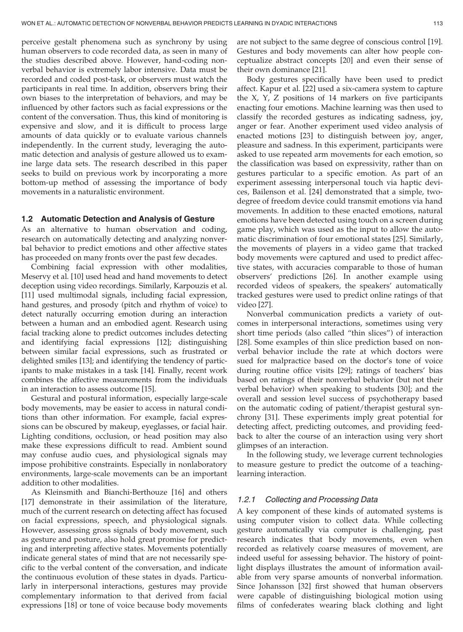perceive gestalt phenomena such as synchrony by using human observers to code recorded data, as seen in many of the studies described above. However, hand-coding nonverbal behavior is extremely labor intensive. Data must be recorded and coded post-task, or observers must watch the participants in real time. In addition, observers bring their own biases to the interpretation of behaviors, and may be influenced by other factors such as facial expressions or the content of the conversation. Thus, this kind of monitoring is expensive and slow, and it is difficult to process large amounts of data quickly or to evaluate various channels independently. In the current study, leveraging the automatic detection and analysis of gesture allowed us to examine large data sets. The research described in this paper seeks to build on previous work by incorporating a more bottom-up method of assessing the importance of body movements in a naturalistic environment.

# 1.2 Automatic Detection and Analysis of Gesture

As an alternative to human observation and coding, research on automatically detecting and analyzing nonverbal behavior to predict emotions and other affective states has proceeded on many fronts over the past few decades.

Combining facial expression with other modalities, Meservy et al. [10] used head and hand movements to detect deception using video recordings. Similarly, Karpouzis et al. [11] used multimodal signals, including facial expression, hand gestures, and prosody (pitch and rhythm of voice) to detect naturally occurring emotion during an interaction between a human and an embodied agent. Research using facial tracking alone to predict outcomes includes detecting and identifying facial expressions [12]; distinguishing between similar facial expressions, such as frustrated or delighted smiles [13]; and identifying the tendency of participants to make mistakes in a task [14]. Finally, recent work combines the affective measurements from the individuals in an interaction to assess outcome [15].

Gestural and postural information, especially large-scale body movements, may be easier to access in natural conditions than other information. For example, facial expressions can be obscured by makeup, eyeglasses, or facial hair. Lighting conditions, occlusion, or head position may also make these expressions difficult to read. Ambient sound may confuse audio cues, and physiological signals may impose prohibitive constraints. Especially in nonlaboratory environments, large-scale movements can be an important addition to other modalities.

As Kleinsmith and Bianchi-Berthouze [16] and others [17] demonstrate in their assimilation of the literature, much of the current research on detecting affect has focused on facial expressions, speech, and physiological signals. However, assessing gross signals of body movement, such as gesture and posture, also hold great promise for predicting and interpreting affective states. Movements potentially indicate general states of mind that are not necessarily specific to the verbal content of the conversation, and indicate the continuous evolution of these states in dyads. Particularly in interpersonal interactions, gestures may provide complementary information to that derived from facial expressions [18] or tone of voice because body movements are not subject to the same degree of conscious control [19]. Gestures and body movements can alter how people conceptualize abstract concepts [20] and even their sense of their own dominance [21].

Body gestures specifically have been used to predict affect. Kapur et al. [22] used a six-camera system to capture the  $X$ ,  $Y$ ,  $Z$  positions of 14 markers on five participants enacting four emotions. Machine learning was then used to classify the recorded gestures as indicating sadness, joy, anger or fear. Another experiment used video analysis of enacted motions [23] to distinguish between joy, anger, pleasure and sadness. In this experiment, participants were asked to use repeated arm movements for each emotion, so the classification was based on expressivity, rather than on gestures particular to a specific emotion. As part of an experiment assessing interpersonal touch via haptic devices, Bailenson et al. [24] demonstrated that a simple, twodegree of freedom device could transmit emotions via hand movements. In addition to these enacted emotions, natural emotions have been detected using touch on a screen during game play, which was used as the input to allow the automatic discrimination of four emotional states [25]. Similarly, the movements of players in a video game that tracked body movements were captured and used to predict affective states, with accuracies comparable to those of human observers' predictions [26]. In another example using recorded videos of speakers, the speakers' automatically tracked gestures were used to predict online ratings of that video [27].

Nonverbal communication predicts a variety of outcomes in interpersonal interactions, sometimes using very short time periods (also called "thin slices") of interaction [28]. Some examples of thin slice prediction based on nonverbal behavior include the rate at which doctors were sued for malpractice based on the doctor's tone of voice during routine office visits [29]; ratings of teachers' bias based on ratings of their nonverbal behavior (but not their verbal behavior) when speaking to students [30]; and the overall and session level success of psychotherapy based on the automatic coding of patient/therapist gestural synchrony [31]. These experiments imply great potential for detecting affect, predicting outcomes, and providing feedback to alter the course of an interaction using very short glimpses of an interaction.

In the following study, we leverage current technologies to measure gesture to predict the outcome of a teachinglearning interaction.

# 1.2.1 Collecting and Processing Data

A key component of these kinds of automated systems is using computer vision to collect data. While collecting gesture automatically via computer is challenging, past research indicates that body movements, even when recorded as relatively coarse measures of movement, are indeed useful for assessing behavior. The history of pointlight displays illustrates the amount of information available from very sparse amounts of nonverbal information. Since Johansson [32] first showed that human observers were capable of distinguishing biological motion using films of confederates wearing black clothing and light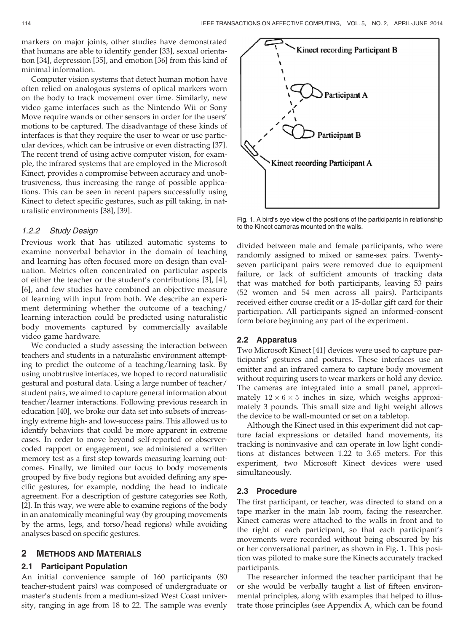markers on major joints, other studies have demonstrated that humans are able to identify gender [33], sexual orientation [34], depression [35], and emotion [36] from this kind of minimal information.

Computer vision systems that detect human motion have often relied on analogous systems of optical markers worn on the body to track movement over time. Similarly, new video game interfaces such as the Nintendo Wii or Sony Move require wands or other sensors in order for the users' motions to be captured. The disadvantage of these kinds of interfaces is that they require the user to wear or use particular devices, which can be intrusive or even distracting [37]. The recent trend of using active computer vision, for example, the infrared systems that are employed in the Microsoft Kinect, provides a compromise between accuracy and unobtrusiveness, thus increasing the range of possible applications. This can be seen in recent papers successfully using Kinect to detect specific gestures, such as pill taking, in naturalistic environments [38], [39].

# 1.2.2 Study Design

Previous work that has utilized automatic systems to examine nonverbal behavior in the domain of teaching and learning has often focused more on design than evaluation. Metrics often concentrated on particular aspects of either the teacher or the student's contributions [3], [4], [6], and few studies have combined an objective measure of learning with input from both. We describe an experiment determining whether the outcome of a teaching/ learning interaction could be predicted using naturalistic body movements captured by commercially available video game hardware.

We conducted a study assessing the interaction between teachers and students in a naturalistic environment attempting to predict the outcome of a teaching/learning task. By using unobtrusive interfaces, we hoped to record naturalistic gestural and postural data. Using a large number of teacher/ student pairs, we aimed to capture general information about teacher/learner interactions. Following previous research in education [40], we broke our data set into subsets of increasingly extreme high- and low-success pairs. This allowed us to identify behaviors that could be more apparent in extreme cases. In order to move beyond self-reported or observercoded rapport or engagement, we administered a written memory test as a first step towards measuring learning outcomes. Finally, we limited our focus to body movements grouped by five body regions but avoided defining any specific gestures, for example, nodding the head to indicate agreement. For a description of gesture categories see Roth, [2]. In this way, we were able to examine regions of the body in an anatomically meaningful way (by grouping movements by the arms, legs, and torso/head regions) while avoiding analyses based on specific gestures.

## 2 METHODS AND MATERIALS

# 2.1 Participant Population

An initial convenience sample of 160 participants (80 teacher-student pairs) was composed of undergraduate or master's students from a medium-sized West Coast university, ranging in age from 18 to 22. The sample was evenly



Fig. 1. A bird's eye view of the positions of the participants in relationship to the Kinect cameras mounted on the walls.

divided between male and female participants, who were randomly assigned to mixed or same-sex pairs. Twentyseven participant pairs were removed due to equipment failure, or lack of sufficient amounts of tracking data that was matched for both participants, leaving 53 pairs (52 women and 54 men across all pairs). Participants received either course credit or a 15-dollar gift card for their participation. All participants signed an informed-consent form before beginning any part of the experiment.

# 2.2 Apparatus

Two Microsoft Kinect [41] devices were used to capture participants' gestures and postures. These interfaces use an emitter and an infrared camera to capture body movement without requiring users to wear markers or hold any device. The cameras are integrated into a small panel, approximately  $12 \times 6 \times 5$  inches in size, which weighs approximately 3 pounds. This small size and light weight allows the device to be wall-mounted or set on a tabletop.

Although the Kinect used in this experiment did not capture facial expressions or detailed hand movements, its tracking is noninvasive and can operate in low light conditions at distances between 1.22 to 3.65 meters. For this experiment, two Microsoft Kinect devices were used simultaneously.

# 2.3 Procedure

The first participant, or teacher, was directed to stand on a tape marker in the main lab room, facing the researcher. Kinect cameras were attached to the walls in front and to the right of each participant, so that each participant's movements were recorded without being obscured by his or her conversational partner, as shown in Fig. 1. This position was piloted to make sure the Kinects accurately tracked participants.

The researcher informed the teacher participant that he or she would be verbally taught a list of fifteen environmental principles, along with examples that helped to illustrate those principles (see Appendix A, which can be found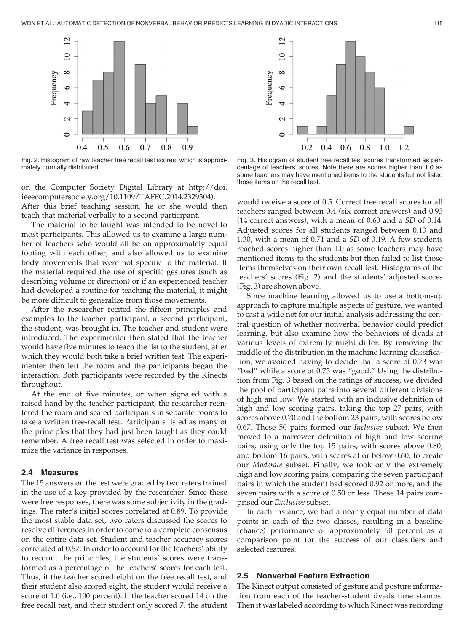



Fig. 2. Histogram of raw teacher free recall test scores, which is approximately normally distributed.

on the Computer Society Digital Library at http://doi. ieeecomputersociety.org/10.1109/TAFFC.2014.2329304). After this brief teaching session, he or she would then teach that material verbally to a second participant.

The material to be taught was intended to be novel to most participants. This allowed us to examine a large number of teachers who would all be on approximately equal footing with each other, and also allowed us to examine body movements that were not specific to the material. If the material required the use of specific gestures (such as describing volume or direction) or if an experienced teacher had developed a routine for teaching the material, it might be more difficult to generalize from those movements.

After the researcher recited the fifteen principles and examples to the teacher participant, a second participant, the student, was brought in. The teacher and student were introduced. The experimenter then stated that the teacher would have five minutes to teach the list to the student, after which they would both take a brief written test. The experimenter then left the room and the participants began the interaction. Both participants were recorded by the Kinects throughout.

At the end of five minutes, or when signaled with a raised hand by the teacher participant, the researcher reentered the room and seated participants in separate rooms to take a written free-recall test. Participants listed as many of the principles that they had just been taught as they could remember. A free recall test was selected in order to maximize the variance in responses.

# 2.4 Measures

The 15 answers on the test were graded by two raters trained in the use of a key provided by the researcher. Since these were free responses, there was some subjectivity in the gradings. The rater's initial scores correlated at 0.89. To provide the most stable data set, two raters discussed the scores to resolve differences in order to come to a complete consensus on the entire data set. Student and teacher accuracy scores correlated at 0.57. In order to account for the teachers' ability to recount the principles, the students' scores were transformed as a percentage of the teachers' scores for each test. Thus, if the teacher scored eight on the free recall test, and their student also scored eight, the student would receive a score of 1.0 (i.e., 100 percent). If the teacher scored 14 on the free recall test, and their student only scored 7, the student

Fig. 3. Histogram of student free recall test scores transformed as percentage of teachers' scores. Note there are scores higher than 1.0 as some teachers may have mentioned items to the students but not listed those items on the recall test.

would receive a score of 0.5. Correct free recall scores for all teachers ranged between 0.4 (six correct answers) and 0.93 (14 correct answers), with a mean of 0.63 and a SD of 0.14. Adjusted scores for all students ranged between 0.13 and 1.30, with a mean of 0.71 and a SD of 0.19. A few students reached scores higher than 1.0 as some teachers may have mentioned items to the students but then failed to list those items themselves on their own recall test. Histograms of the teachers' scores (Fig. 2) and the students' adjusted scores (Fig. 3) are shown above.

Since machine learning allowed us to use a bottom-up approach to capture multiple aspects of gesture, we wanted to cast a wide net for our initial analysis addressing the central question of whether nonverbal behavior could predict learning, but also examine how the behaviors of dyads at various levels of extremity might differ. By removing the middle of the distribution in the machine learning classification, we avoided having to decide that a score of 0.73 was "bad" while a score of 0.75 was "good." Using the distribution from Fig. 3 based on the ratings of success, we divided the pool of participant pairs into several different divisions of high and low. We started with an inclusive definition of high and low scoring pairs, taking the top 27 pairs, with scores above 0.70 and the bottom 23 pairs, with scores below 0.67. These 50 pairs formed our Inclusive subset. We then moved to a narrower definition of high and low scoring pairs, using only the top 15 pairs, with scores above 0.80, and bottom 16 pairs, with scores at or below 0.60, to create our Moderate subset. Finally, we took only the extremely high and low scoring pairs, comparing the seven participant pairs in which the student had scored 0.92 or more, and the seven pairs with a score of 0.50 or less. These 14 pairs comprised our Exclusive subset.

In each instance, we had a nearly equal number of data points in each of the two classes, resulting in a baseline (chance) performance of approximately 50 percent as a comparison point for the success of our classifiers and selected features.

# 2.5 Nonverbal Feature Extraction

The Kinect output consisted of gesture and posture information from each of the teacher-student dyads time stamps. Then it was labeled according to which Kinect was recording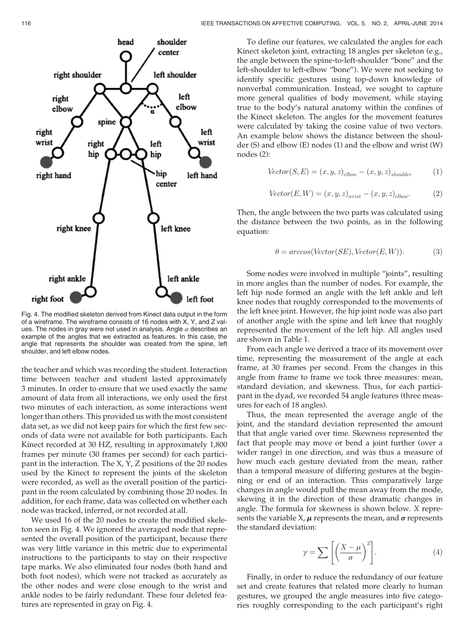

Fig. 4. The modified skeleton derived from Kinect data output in the form of a wireframe. The wireframe consists of 16 nodes with X, Y, and Z values. The nodes in gray were not used in analysis. Angle  $\alpha$  describes an example of the angles that we extracted as features. In this case, the angle that represents the shoulder was created from the spine, left shoulder, and left elbow nodes.

the teacher and which was recording the student. Interaction time between teacher and student lasted approximately 3 minutes. In order to ensure that we used exactly the same amount of data from all interactions, we only used the first two minutes of each interaction, as some interactions went longer than others. This provided us with the most consistent data set, as we did not keep pairs for which the first few seconds of data were not available for both participants. Each Kinect recorded at 30 HZ, resulting in approximately 1,800 frames per minute (30 frames per second) for each participant in the interaction. The X, Y, Z positions of the 20 nodes used by the Kinect to represent the joints of the skeleton were recorded, as well as the overall position of the participant in the room calculated by combining those 20 nodes. In addition, for each frame, data was collected on whether each node was tracked, inferred, or not recorded at all.

We used 16 of the 20 nodes to create the modified skeleton seen in Fig. 4. We ignored the averaged node that represented the overall position of the participant, because there was very little variance in this metric due to experimental instructions to the participants to stay on their respective tape marks. We also eliminated four nodes (both hand and both foot nodes), which were not tracked as accurately as the other nodes and were close enough to the wrist and ankle nodes to be fairly redundant. These four deleted features are represented in gray on Fig. 4.

To define our features, we calculated the angles for each Kinect skeleton joint, extracting 18 angles per skeleton (e.g., the angle between the spine-to-left-shoulder "bone" and the left-shoulder to left-elbow "bone"). We were not seeking to identify specific gestures using top-down knowledge of nonverbal communication. Instead, we sought to capture more general qualities of body movement, while staying true to the body's natural anatomy within the confines of the Kinect skeleton. The angles for the movement features were calculated by taking the cosine value of two vectors. An example below shows the distance between the shoulder (S) and elbow (E) nodes (1) and the elbow and wrist (W) nodes (2):

$$
Vector(S, E) = (x, y, z)_{elbow} - (x, y, z)_{shoulder}
$$
 (1)

$$
Vector(E, W) = (x, y, z)_{wrist} - (x, y, z)_{elbow}.
$$
 (2)

Then, the angle between the two parts was calculated using the distance between the two points, as in the following equation:

$$
\theta = \arccos(Vector(SE), Vector(E, W)). \tag{3}
$$

Some nodes were involved in multiple "joints", resulting in more angles than the number of nodes. For example, the left hip node formed an angle with the left ankle and left knee nodes that roughly corresponded to the movements of the left knee joint. However, the hip joint node was also part of another angle with the spine and left knee that roughly represented the movement of the left hip. All angles used are shown in Table 1.

From each angle we derived a trace of its movement over time, representing the measurement of the angle at each frame, at 30 frames per second. From the changes in this angle from frame to frame we took three measures: mean, standard deviation, and skewness. Thus, for each participant in the dyad, we recorded 54 angle features (three measures for each of 18 angles).

Thus, the mean represented the average angle of the joint, and the standard deviation represented the amount that that angle varied over time. Skewness represented the fact that people may move or bend a joint further (over a wider range) in one direction, and was thus a measure of how much each gesture deviated from the mean, rather than a temporal measure of differing gestures at the beginning or end of an interaction. Thus comparatively large changes in angle would pull the mean away from the mode, skewing it in the direction of these dramatic changes in angle. The formula for skewness is shown below. X represents the variable  $X$ ,  $\mu$  represents the mean, and  $\sigma$  represents the standard deviation:

$$
\gamma = \sum \left[ \left( \frac{X - \mu}{\sigma} \right)^3 \right]. \tag{4}
$$

Finally, in order to reduce the redundancy of our feature set and create features that related more clearly to human gestures, we grouped the angle measures into five categories roughly corresponding to the each participant's right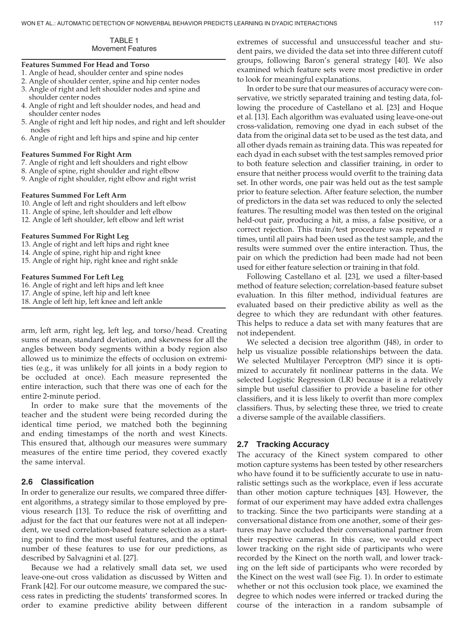TABLE 1 Movement Features

# Features Summed For Head and Torso

- 1. Angle of head, shoulder center and spine nodes
- 2. Angle of shoulder center, spine and hip center nodes
- 3. Angle of right and left shoulder nodes and spine and shoulder center nodes
- 4. Angle of right and left shoulder nodes, and head and shoulder center nodes
- 5. Angle of right and left hip nodes, and right and left shoulder nodes
- 6. Angle of right and left hips and spine and hip center

#### Features Summed For Right Arm

- 7. Angle of right and left shoulders and right elbow
- 8. Angle of spine, right shoulder and right elbow
- 9. Angle of right shoulder, right elbow and right wrist

#### Features Summed For Left Arm

- 10. Angle of left and right shoulders and left elbow
- 11. Angle of spine, left shoulder and left elbow
- 12. Angle of left shoulder, left elbow and left wrist

## Features Summed For Right Leg

- 13. Angle of right and left hips and right knee
- 14. Angle of spine, right hip and right knee
- 15. Angle of right hip, right knee and right snkle

#### Features Summed For Left Leg

- 16. Angle of right and left hips and left knee
- 17. Angle of spine, left hip and left knee
- 18. Angle of left hip, left knee and left ankle

arm, left arm, right leg, left leg, and torso/head. Creating sums of mean, standard deviation, and skewness for all the angles between body segments within a body region also allowed us to minimize the effects of occlusion on extremities (e.g., it was unlikely for all joints in a body region to be occluded at once). Each measure represented the entire interaction, such that there was one of each for the entire 2-minute period.

In order to make sure that the movements of the teacher and the student were being recorded during the identical time period, we matched both the beginning and ending timestamps of the north and west Kinects. This ensured that, although our measures were summary measures of the entire time period, they covered exactly the same interval.

# 2.6 Classification

In order to generalize our results, we compared three different algorithms, a strategy similar to those employed by previous research [13]. To reduce the risk of overfitting and adjust for the fact that our features were not at all independent, we used correlation-based feature selection as a starting point to find the most useful features, and the optimal number of these features to use for our predictions, as described by Salvagnini et al. [27].

Because we had a relatively small data set, we used leave-one-out cross validation as discussed by Witten and Frank [42]. For our outcome measure, we compared the success rates in predicting the students' transformed scores. In order to examine predictive ability between different extremes of successful and unsuccessful teacher and student pairs, we divided the data set into three different cutoff groups, following Baron's general strategy [40]. We also examined which feature sets were most predictive in order to look for meaningful explanations.

In order to be sure that our measures of accuracy were conservative, we strictly separated training and testing data, following the procedure of Castellano et al. [23] and Hoque et al. [13]. Each algorithm was evaluated using leave-one-out cross-validation, removing one dyad in each subset of the data from the original data set to be used as the test data, and all other dyads remain as training data. This was repeated for each dyad in each subset with the test samples removed prior to both feature selection and classifier training, in order to ensure that neither process would overfit to the training data set. In other words, one pair was held out as the test sample prior to feature selection. After feature selection, the number of predictors in the data set was reduced to only the selected features. The resulting model was then tested on the original held-out pair, producing a hit, a miss, a false positive, or a correct rejection. This train/test procedure was repeated  $n$ times, until all pairs had been used as the test sample, and the results were summed over the entire interaction. Thus, the pair on which the prediction had been made had not been used for either feature selection or training in that fold.

Following Castellano et al. [23], we used a filter-based method of feature selection; correlation-based feature subset evaluation. In this filter method, individual features are evaluated based on their predictive ability as well as the degree to which they are redundant with other features. This helps to reduce a data set with many features that are not independent.

We selected a decision tree algorithm (J48), in order to help us visualize possible relationships between the data. We selected Multilayer Perceptron (MP) since it is optimized to accurately fit nonlinear patterns in the data. We selected Logistic Regression (LR) because it is a relatively simple but useful classifier to provide a baseline for other classifiers, and it is less likely to overfit than more complex classifiers. Thus, by selecting these three, we tried to create a diverse sample of the available classifiers.

#### 2.7 Tracking Accuracy

The accuracy of the Kinect system compared to other motion capture systems has been tested by other researchers who have found it to be sufficiently accurate to use in naturalistic settings such as the workplace, even if less accurate than other motion capture techniques [43]. However, the format of our experiment may have added extra challenges to tracking. Since the two participants were standing at a conversational distance from one another, some of their gestures may have occluded their conversational partner from their respective cameras. In this case, we would expect lower tracking on the right side of participants who were recorded by the Kinect on the north wall, and lower tracking on the left side of participants who were recorded by the Kinect on the west wall (see Fig. 1). In order to estimate whether or not this occlusion took place, we examined the degree to which nodes were inferred or tracked during the course of the interaction in a random subsample of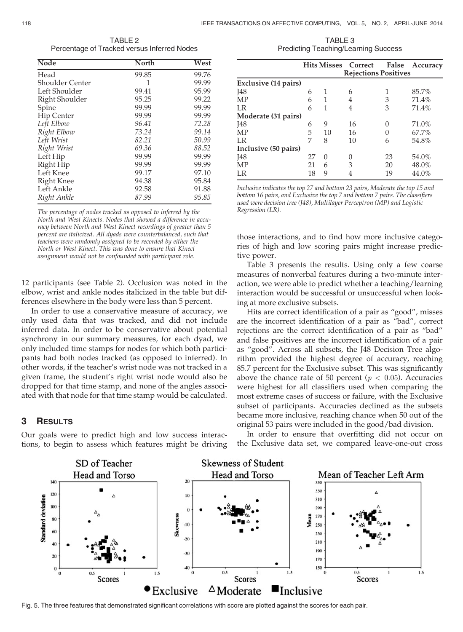TABLE 2 Percentage of Tracked versus Inferred Nodes

| Node              | North | West  |  |
|-------------------|-------|-------|--|
| Head              | 99.85 | 99.76 |  |
| Shoulder Center   | 1     | 99.99 |  |
| Left Shoulder     | 99.41 | 95.99 |  |
| Right Shoulder    | 95.25 | 99.22 |  |
| Spine             | 99.99 | 99.99 |  |
| Hip Center        | 99.99 | 99.99 |  |
| Left Elbow        | 96.41 | 72.28 |  |
| Right Elbow       | 73.24 | 99.14 |  |
| Left Wrist        | 82.21 | 50.99 |  |
| Right Wrist       | 69.36 | 88.52 |  |
| Left Hip          | 99.99 | 99.99 |  |
| Right Hip         | 99.99 | 99.99 |  |
| Left Knee         | 99.17 | 97.10 |  |
| <b>Right Knee</b> | 94.38 | 95.84 |  |
| Left Ankle        | 92.58 | 91.88 |  |
| Right Ankle       | 87.99 | 95.85 |  |

The percentage of nodes tracked as opposed to inferred by the North and West Kinects. Nodes that showed a difference in accuracy between North and West Kinect recordings of greater than 5 percent are italicized. All dyads were counterbalanced, such that teachers were randomly assigned to be recorded by either the North or West Kinect. This was done to ensure that Kinect assignment would not be confounded with participant role.

12 participants (see Table 2). Occlusion was noted in the elbow, wrist and ankle nodes italicized in the table but differences elsewhere in the body were less than 5 percent.

In order to use a conservative measure of accuracy, we only used data that was tracked, and did not include inferred data. In order to be conservative about potential synchrony in our summary measures, for each dyad, we only included time stamps for nodes for which both participants had both nodes tracked (as opposed to inferred). In other words, if the teacher's wrist node was not tracked in a given frame, the student's right wrist node would also be dropped for that time stamp, and none of the angles associated with that node for that time stamp would be calculated.

# 3 RESULTS

Our goals were to predict high and low success interactions, to begin to assess which features might be driving

TABLE 3 Predicting Teaching/Learning Success

|                      |    |    | <b>Hits Misses Correct</b><br><b>Rejections Positives</b> | False | Accuracy |
|----------------------|----|----|-----------------------------------------------------------|-------|----------|
| Exclusive (14 pairs) |    |    |                                                           |       |          |
| I48                  | 6  | 1  | 6                                                         | 1     | 85.7%    |
| MP                   | 6  | 1  | 4                                                         | 3     | 71.4%    |
| LR                   | 6  | 1  | 4                                                         | 3     | 71.4%    |
| Moderate (31 pairs)  |    |    |                                                           |       |          |
| I48                  | 6  | 9  | 16                                                        |       | 71.0%    |
| <b>MP</b>            | 5  | 10 | 16                                                        | 0     | 67.7%    |
| LR                   | 7  | 8  | 10                                                        | 6     | 54.8%    |
| Inclusive (50 pairs) |    |    |                                                           |       |          |
| <b>I48</b>           | 27 | 0  |                                                           | 23    | 54.0%    |
| <b>MP</b>            | 21 | 6  | 3                                                         | 20    | 48.0%    |
| LR                   | 18 | 9  |                                                           | 19    | 44.0%    |

Inclusive indicates the top 27 and bottom 23 pairs, Moderate the top 15 and bottom 16 pairs, and Exclusive the top 7 and bottom 7 pairs. The classifiers used were decision tree (J48), Multilayer Perceptron (MP) and Logistic Regression (LR).

those interactions, and to find how more inclusive categories of high and low scoring pairs might increase predictive power.

Table 3 presents the results. Using only a few coarse measures of nonverbal features during a two-minute interaction, we were able to predict whether a teaching/learning interaction would be successful or unsuccessful when looking at more exclusive subsets.

Hits are correct identification of a pair as "good", misses are the incorrect identification of a pair as "bad", correct rejections are the correct identification of a pair as "bad" and false positives are the incorrect identification of a pair as "good". Across all subsets, the J48 Decision Tree algorithm provided the highest degree of accuracy, reaching 85.7 percent for the Exclusive subset. This was significantly above the chance rate of 50 percent ( $p < 0.05$ ). Accuracies were highest for all classifiers used when comparing the most extreme cases of success or failure, with the Exclusive subset of participants. Accuracies declined as the subsets became more inclusive, reaching chance when 50 out of the original 53 pairs were included in the good/bad division.

In order to ensure that overfitting did not occur on the Exclusive data set, we compared leave-one-out cross



Fig. 5. The three features that demonstrated significant correlations with score are plotted against the scores for each pair.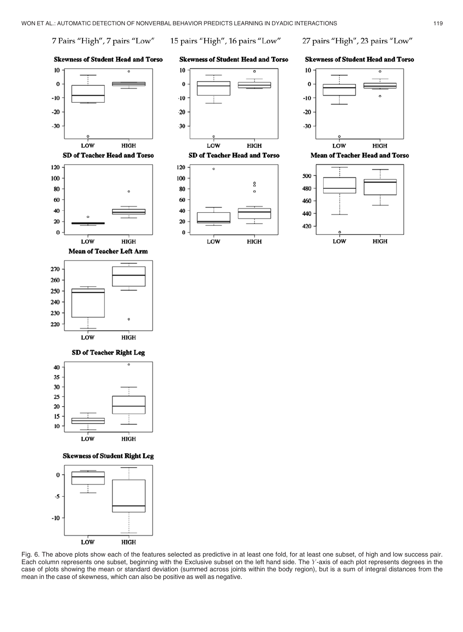7 Pairs "High", 7 pairs "Low"

LOW

**HIGH** 

15 pairs "High", 16 pairs "Low"

27 pairs "High", 23 pairs "Low"

LOW

LOW

HIGH

HIGH



Fig. 6. The above plots show each of the features selected as predictive in at least one fold, for at least one subset, of high and low success pair. Each column represents one subset, beginning with the Exclusive subset on the left hand side. The Y-axis of each plot represents degrees in the case of plots showing the mean or standard deviation (summed across joints within the body region), but is a sum of integral distances from the mean in the case of skewness, which can also be positive as well as negative.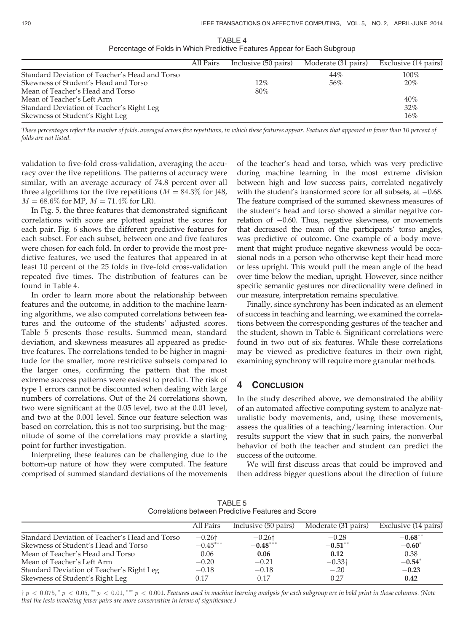| TABLE 4                                                                   |
|---------------------------------------------------------------------------|
| Percentage of Folds in Which Predictive Features Appear for Each Subgroup |

|                                                | All Pairs | Inclusive (50 pairs) | Moderate (31 pairs) | Exclusive (14 pairs) |
|------------------------------------------------|-----------|----------------------|---------------------|----------------------|
| Standard Deviation of Teacher's Head and Torso |           |                      | 44%                 | 100%                 |
| Skewness of Student's Head and Torso           |           | 12%                  | 56%                 | 20%                  |
| Mean of Teacher's Head and Torso               |           | 80%                  |                     |                      |
| Mean of Teacher's Left Arm                     |           |                      |                     | $40\%$               |
| Standard Deviation of Teacher's Right Leg      |           |                      |                     | 32%                  |
| Skewness of Student's Right Leg                |           |                      |                     | $16\%$               |

These percentages reflect the number of folds, averaged across five repetitions, in which these features appear. Features that appeared in fewer than 10 percent of folds are not listed.

validation to five-fold cross-validation, averaging the accuracy over the five repetitions. The patterns of accuracy were similar, with an average accuracy of 74.8 percent over all three algorithms for the five repetitions ( $M = 84.3\%$  for J48,  $M = 68.6\%$  for MP,  $M = 71.4\%$  for LR).

In Fig. 5, the three features that demonstrated significant correlations with score are plotted against the scores for each pair. Fig. 6 shows the different predictive features for each subset. For each subset, between one and five features were chosen for each fold. In order to provide the most predictive features, we used the features that appeared in at least 10 percent of the 25 folds in five-fold cross-validation repeated five times. The distribution of features can be found in Table 4.

In order to learn more about the relationship between features and the outcome, in addition to the machine learning algorithms, we also computed correlations between features and the outcome of the students' adjusted scores. Table 5 presents those results. Summed mean, standard deviation, and skewness measures all appeared as predictive features. The correlations tended to be higher in magnitude for the smaller, more restrictive subsets compared to the larger ones, confirming the pattern that the most extreme success patterns were easiest to predict. The risk of type 1 errors cannot be discounted when dealing with large numbers of correlations. Out of the 24 correlations shown, two were significant at the 0.05 level, two at the 0.01 level, and two at the 0.001 level. Since our feature selection was based on correlation, this is not too surprising, but the magnitude of some of the correlations may provide a starting point for further investigation.

Interpreting these features can be challenging due to the bottom-up nature of how they were computed. The feature comprised of summed standard deviations of the movements

of the teacher's head and torso, which was very predictive during machine learning in the most extreme division between high and low success pairs, correlated negatively with the student's transformed score for all subsets, at  $-0.68$ . The feature comprised of the summed skewness measures of the student's head and torso showed a similar negative correlation of  $-0.60$ . Thus, negative skewness, or movements that decreased the mean of the participants' torso angles, was predictive of outcome. One example of a body movement that might produce negative skewness would be occasional nods in a person who otherwise kept their head more or less upright. This would pull the mean angle of the head over time below the median, upright. However, since neither specific semantic gestures nor directionality were defined in our measure, interpretation remains speculative.

Finally, since synchrony has been indicated as an element of success in teaching and learning, we examined the correlations between the corresponding gestures of the teacher and the student, shown in Table 6. Significant correlations were found in two out of six features. While these correlations may be viewed as predictive features in their own right, examining synchrony will require more granular methods.

# 4 CONCLUSION

In the study described above, we demonstrated the ability of an automated affective computing system to analyze naturalistic body movements, and, using these movements, assess the qualities of a teaching/learning interaction. Our results support the view that in such pairs, the nonverbal behavior of both the teacher and student can predict the success of the outcome.

We will first discuss areas that could be improved and then address bigger questions about the direction of future

TABLE 5 Correlations between Predictive Features and Score

|                                                | All Pairs      | Inclusive (50 pairs) | Moderate (31 pairs) | Exclusive (14 pairs) |
|------------------------------------------------|----------------|----------------------|---------------------|----------------------|
| Standard Deviation of Teacher's Head and Torso | $-0.26\dagger$ | $-0.26\dagger$       | $-0.28$             | $-0.68***$           |
| Skewness of Student's Head and Torso           | $-0.45***$     | $-0.48***$           | $-0.51***$          | $-0.60*$             |
| Mean of Teacher's Head and Torso               | 0.06           | 0.06                 | 0.12                | 0.38                 |
| Mean of Teacher's Left Arm                     | $-0.20$        | $-0.21$              | $-0.33\dagger$      | $-0.54*$             |
| Standard Deviation of Teacher's Right Leg      | $-0.18$        | $-0.18$              | $-.20$              | $-0.23$              |
| Skewness of Student's Right Leg                | 0.17           | 0.17                 | 0.27                | 0.42                 |

 $\frac{1}{T}p < 0.075$ ,  $p < 0.05$ ,  $\frac{1}{T}p < 0.01$ ,  $\frac{1}{T}p < 0.001$ . Features used in machine learning analysis for each subgroup are in bold print in those columns. (Note that the tests involving fewer pairs are more conservative in terms of significance.)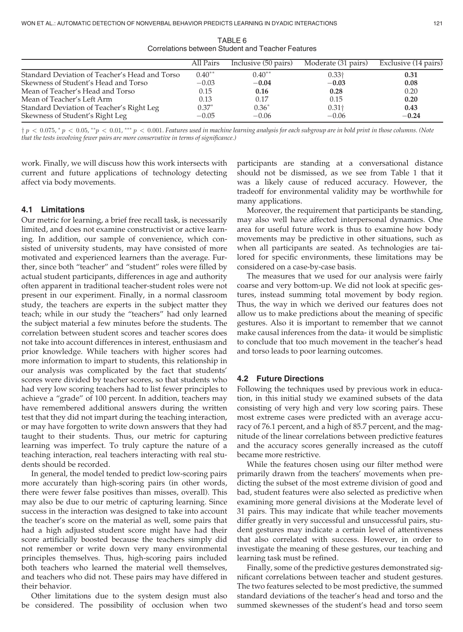|                                                | All Pairs | Inclusive (50 pairs) | Moderate (31 pairs) | Exclusive (14 pairs) |
|------------------------------------------------|-----------|----------------------|---------------------|----------------------|
| Standard Deviation of Teacher's Head and Torso | $0.40**$  | $0.40**$             | $0.33\dagger$       | 0.31                 |
| Skewness of Student's Head and Torso           | $-0.03$   | $-0.04$              | $-0.03$             | 0.08                 |
| Mean of Teacher's Head and Torso               | 0.15      | 0.16                 | 0.28                | 0.20                 |
| Mean of Teacher's Left Arm                     | 0.13      | 0.17                 | 0.15                | 0.20                 |
| Standard Deviation of Teacher's Right Leg      | $0.37*$   | $0.36*$              | $0.31\dagger$       | 0.43                 |
| Skewness of Student's Right Leg                | $-0.05$   | $-0.06$              | $-0.06$             | $-0.24$              |

TABLE 6 Correlations between Student and Teacher Features

 $\gamma + p < 0.075$ ,  $p < 0.05$ ,  $p < 0.01$ ,  $p = 0.001$ . Features used in machine learning analysis for each subgroup are in bold print in those columns. (Note that the tests involving fewer pairs are more conservative in terms of significance.)

work. Finally, we will discuss how this work intersects with current and future applications of technology detecting affect via body movements.

# 4.1 Limitations

Our metric for learning, a brief free recall task, is necessarily limited, and does not examine constructivist or active learning. In addition, our sample of convenience, which consisted of university students, may have consisted of more motivated and experienced learners than the average. Further, since both "teacher" and "student" roles were filled by actual student participants, differences in age and authority often apparent in traditional teacher-student roles were not present in our experiment. Finally, in a normal classroom study, the teachers are experts in the subject matter they teach; while in our study the "teachers" had only learned the subject material a few minutes before the students. The correlation between student scores and teacher scores does not take into account differences in interest, enthusiasm and prior knowledge. While teachers with higher scores had more information to impart to students, this relationship in our analysis was complicated by the fact that students' scores were divided by teacher scores, so that students who had very low scoring teachers had to list fewer principles to achieve a "grade" of 100 percent. In addition, teachers may have remembered additional answers during the written test that they did not impart during the teaching interaction, or may have forgotten to write down answers that they had taught to their students. Thus, our metric for capturing learning was imperfect. To truly capture the nature of a teaching interaction, real teachers interacting with real students should be recorded.

In general, the model tended to predict low-scoring pairs more accurately than high-scoring pairs (in other words, there were fewer false positives than misses, overall). This may also be due to our metric of capturing learning. Since success in the interaction was designed to take into account the teacher's score on the material as well, some pairs that had a high adjusted student score might have had their score artificially boosted because the teachers simply did not remember or write down very many environmental principles themselves. Thus, high-scoring pairs included both teachers who learned the material well themselves, and teachers who did not. These pairs may have differed in their behavior.

Other limitations due to the system design must also be considered. The possibility of occlusion when two participants are standing at a conversational distance should not be dismissed, as we see from Table 1 that it was a likely cause of reduced accuracy. However, the tradeoff for environmental validity may be worthwhile for many applications.

Moreover, the requirement that participants be standing, may also well have affected interpersonal dynamics. One area for useful future work is thus to examine how body movements may be predictive in other situations, such as when all participants are seated. As technologies are tailored for specific environments, these limitations may be considered on a case-by-case basis.

The measures that we used for our analysis were fairly coarse and very bottom-up. We did not look at specific gestures, instead summing total movement by body region. Thus, the way in which we derived our features does not allow us to make predictions about the meaning of specific gestures. Also it is important to remember that we cannot make causal inferences from the data- it would be simplistic to conclude that too much movement in the teacher's head and torso leads to poor learning outcomes.

# 4.2 Future Directions

Following the techniques used by previous work in education, in this initial study we examined subsets of the data consisting of very high and very low scoring pairs. These most extreme cases were predicted with an average accuracy of 76.1 percent, and a high of 85.7 percent, and the magnitude of the linear correlations between predictive features and the accuracy scores generally increased as the cutoff became more restrictive.

While the features chosen using our filter method were primarily drawn from the teachers' movements when predicting the subset of the most extreme division of good and bad, student features were also selected as predictive when examining more general divisions at the Moderate level of 31 pairs. This may indicate that while teacher movements differ greatly in very successful and unsuccessful pairs, student gestures may indicate a certain level of attentiveness that also correlated with success. However, in order to investigate the meaning of these gestures, our teaching and learning task must be refined.

Finally, some of the predictive gestures demonstrated significant correlations between teacher and student gestures. The two features selected to be most predictive, the summed standard deviations of the teacher's head and torso and the summed skewnesses of the student's head and torso seem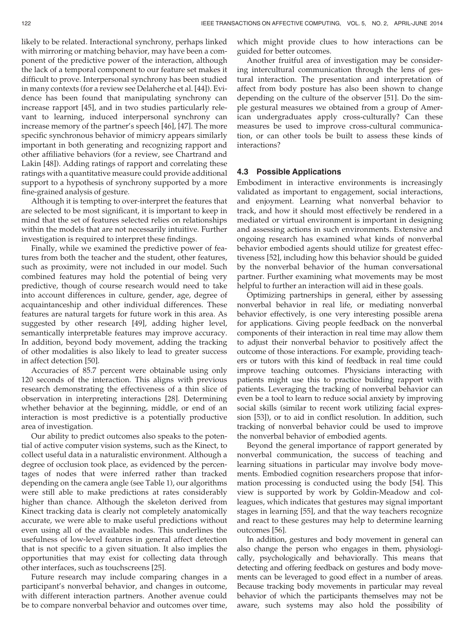likely to be related. Interactional synchrony, perhaps linked with mirroring or matching behavior, may have been a component of the predictive power of the interaction, although the lack of a temporal component to our feature set makes it difficult to prove. Interpersonal synchrony has been studied in many contexts (for a review see Delaherche et al. [44]). Evidence has been found that manipulating synchrony can increase rapport [45], and in two studies particularly relevant to learning, induced interpersonal synchrony can increase memory of the partner's speech [46], [47]. The more specific synchronous behavior of mimicry appears similarly important in both generating and recognizing rapport and other affiliative behaviors (for a review, see Chartrand and Lakin [48]). Adding ratings of rapport and correlating these ratings with a quantitative measure could provide additional support to a hypothesis of synchrony supported by a more fine-grained analysis of gesture.

Although it is tempting to over-interpret the features that are selected to be most significant, it is important to keep in mind that the set of features selected relies on relationships within the models that are not necessarily intuitive. Further investigation is required to interpret these findings.

Finally, while we examined the predictive power of features from both the teacher and the student, other features, such as proximity, were not included in our model. Such combined features may hold the potential of being very predictive, though of course research would need to take into account differences in culture, gender, age, degree of acquaintanceship and other individual differences. These features are natural targets for future work in this area. As suggested by other research [49], adding higher level, semantically interpretable features may improve accuracy. In addition, beyond body movement, adding the tracking of other modalities is also likely to lead to greater success in affect detection [50].

Accuracies of 85.7 percent were obtainable using only 120 seconds of the interaction. This aligns with previous research demonstrating the effectiveness of a thin slice of observation in interpreting interactions [28]. Determining whether behavior at the beginning, middle, or end of an interaction is most predictive is a potentially productive area of investigation.

Our ability to predict outcomes also speaks to the potential of active computer vision systems, such as the Kinect, to collect useful data in a naturalistic environment. Although a degree of occlusion took place, as evidenced by the percentages of nodes that were inferred rather than tracked depending on the camera angle (see Table 1), our algorithms were still able to make predictions at rates considerably higher than chance. Although the skeleton derived from Kinect tracking data is clearly not completely anatomically accurate, we were able to make useful predictions without even using all of the available nodes. This underlines the usefulness of low-level features in general affect detection that is not specific to a given situation. It also implies the opportunities that may exist for collecting data through other interfaces, such as touchscreens [25].

Future research may include comparing changes in a participant's nonverbal behavior, and changes in outcome, with different interaction partners. Another avenue could be to compare nonverbal behavior and outcomes over time, which might provide clues to how interactions can be guided for better outcomes.

Another fruitful area of investigation may be considering intercultural communication through the lens of gestural interaction. The presentation and interpretation of affect from body posture has also been shown to change depending on the culture of the observer [51]. Do the simple gestural measures we obtained from a group of American undergraduates apply cross-culturally? Can these measures be used to improve cross-cultural communication, or can other tools be built to assess these kinds of interactions?

# 4.3 Possible Applications

Embodiment in interactive environments is increasingly validated as important to engagement, social interactions, and enjoyment. Learning what nonverbal behavior to track, and how it should most effectively be rendered in a mediated or virtual environment is important in designing and assessing actions in such environments. Extensive and ongoing research has examined what kinds of nonverbal behavior embodied agents should utilize for greatest effectiveness [52], including how this behavior should be guided by the nonverbal behavior of the human conversational partner. Further examining what movements may be most helpful to further an interaction will aid in these goals.

Optimizing partnerships in general, either by assessing nonverbal behavior in real life, or mediating nonverbal behavior effectively, is one very interesting possible arena for applications. Giving people feedback on the nonverbal components of their interaction in real time may allow them to adjust their nonverbal behavior to positively affect the outcome of those interactions. For example, providing teachers or tutors with this kind of feedback in real time could improve teaching outcomes. Physicians interacting with patients might use this to practice building rapport with patients. Leveraging the tracking of nonverbal behavior can even be a tool to learn to reduce social anxiety by improving social skills (similar to recent work utilizing facial expression [53]), or to aid in conflict resolution. In addition, such tracking of nonverbal behavior could be used to improve the nonverbal behavior of embodied agents.

Beyond the general importance of rapport generated by nonverbal communication, the success of teaching and learning situations in particular may involve body movements. Embodied cognition researchers propose that information processing is conducted using the body [54]. This view is supported by work by Goldin-Meadow and colleagues, which indicates that gestures may signal important stages in learning [55], and that the way teachers recognize and react to these gestures may help to determine learning outcomes [56].

In addition, gestures and body movement in general can also change the person who engages in them, physiologically, psychologically and behaviorally. This means that detecting and offering feedback on gestures and body movements can be leveraged to good effect in a number of areas. Because tracking body movements in particular may reveal behavior of which the participants themselves may not be aware, such systems may also hold the possibility of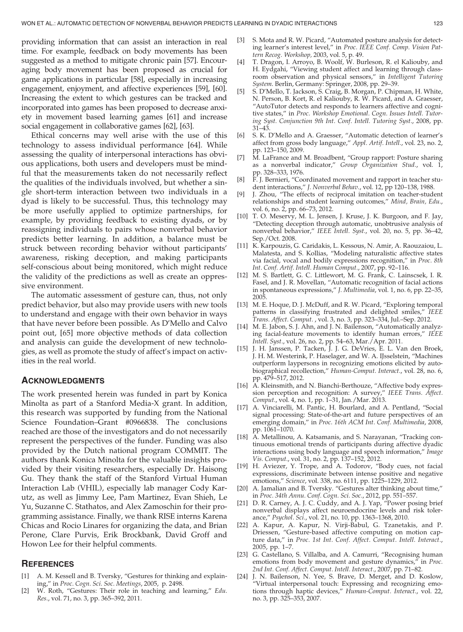providing information that can assist an interaction in real time. For example, feedback on body movements has been suggested as a method to mitigate chronic pain [57]. Encouraging body movement has been proposed as crucial for game applications in particular [58], especially in increasing engagement, enjoyment, and affective experiences [59], [60]. Increasing the extent to which gestures can be tracked and incorporated into games has been proposed to decrease anxiety in movement based learning games [61] and increase social engagement in collaborative games [62], [63].

Ethical concerns may well arise with the use of this technology to assess individual performance [64]. While assessing the quality of interpersonal interactions has obvious applications, both users and developers must be mindful that the measurements taken do not necessarily reflect the qualities of the individuals involved, but whether a single short-term interaction between two individuals in a dyad is likely to be successful. Thus, this technology may be more usefully applied to optimize partnerships, for example, by providing feedback to existing dyads, or by reassigning individuals to pairs whose nonverbal behavior predicts better learning. In addition, a balance must be struck between recording behavior without participants' awareness, risking deception, and making participants self-conscious about being monitored, which might reduce the validity of the predictions as well as create an oppressive environment.

The automatic assessment of gesture can, thus, not only predict behavior, but also may provide users with new tools to understand and engage with their own behavior in ways that have never before been possible. As D'Mello and Calvo point out, [65] more objective methods of data collection and analysis can guide the development of new technologies, as well as promote the study of affect's impact on activities in the real world.

# ACKNOWLEDGMENTS

The work presented herein was funded in part by Konica Minolta as part of a Stanford Media-X grant. In addition, this research was supported by funding from the National Science Foundation–Grant #0966838. The conclusions reached are those of the investigators and do not necessarily represent the perspectives of the funder. Funding was also provided by the Dutch national program COMMIT. The authors thank Konica Minolta for the valuable insights provided by their visiting researchers, especially Dr. Haisong Gu. They thank the staff of the Stanford Virtual Human Interaction Lab (VHIL), especially lab manager Cody Karutz, as well as Jimmy Lee, Pam Martinez, Evan Shieh, Le Yu, Suzanne C. Stathatos, and Alex Zamoschin for their programming assistance. Finally, we thank RISE interns Karena Chicas and Rocio Linares for organizing the data, and Brian Perone, Clare Purvis, Erik Brockbank, David Groff and Howon Lee for their helpful comments.

# **REFERENCES**

- [1] A. M. Kessell and B. Tversky, "Gestures for thinking and explaining," in Proc. Cogn. Sci. Soc. Meetings, 2005, p. 2498.
- [2] W. Roth, "Gestures: Their role in teaching and learning," Edu. Res., vol. 71, no. 3, pp. 365–392, 2011.
- [3] S. Mota and R. W. Picard, "Automated posture analysis for detecting learner's interest level," in Proc. IEEE Conf. Comp. Vision Pattern Recog. Workshop, 2003, vol. 5, p. 49.
- [4] T. Dragon, I. Arroyo, B. Woolf, W. Burleson, R. el Kaliouby, and H. Eydgahi, "Viewing student affect and learning through classroom observation and physical sensors," in Intelligent Tutoring System. Berlin, Germany: Springer, 2008, pp. 29–39.
- [5] S. D'Mello, T. Jackson, S. Craig, B. Morgan, P. Chipman, H. White, N. Person, B. Kort, R. el Kaliouby, R. W. Picard, and A. Graesser, "AutoTutor detects and responds to learners affective and cognitive states," in Proc. Workshop Emotional. Cogn. Issues Intell. Tutoring Syst. Conjunction 9th Int. Conf. Intell. Tutoring Syst., 2008, pp. 31–43.
- [6] S. K. D'Mello and A. Graesser, "Automatic detection of learner's affect from gross body language," Appl. Artif. Intell., vol. 23, no. 2, pp. 123–150, 2009.
- [7] M. LaFrance and M. Broadbent, "Group rapport: Posture sharing as a nonverbal indicator," Group Organization Stud., vol. 1, pp. 328–333, 1976.
- [8] F. J. Bernieri, "Coordinated movement and rapport in teacher student interactions," J. Nonverbal Behav., vol. 12, pp 120-138, 1988.
- [9] J. Zhou, "The effects of reciprocal imitation on teacher-student relationships and student learning outcomes," Mind, Brain, Edu., vol. 6, no. 2, pp. 66–73, 2012.
- [10] T. O. Meservy, M. L. Jensen, J. Kruse, J. K. Burgoon, and F. Jay, "Detecting deception through automatic, unobtrusive analysis of nonverbal behavior," IEEE Intell. Syst., vol. 20, no. 5, pp. 36–42, Sep./Oct. 2008.
- [11] K. Karpouzis, G. Caridakis, L. Kessous, N. Amir, A. Raouzaiou, L. Malatesta, and S. Kollias, "Modeling naturalistic affective states via facial, vocal and bodily expressions recognition," in Proc. 8th Int. Conf. Artif. Intell. Human Comput., 2007, pp. 92–116.
- [12] M. S. Bartlett, G. C. Littlewort, M. G. Frank, C. Lainscsek, I. R. Fasel, and J. R. Movellan, "Automatic recognition of facial actions in spontaneous expressions," J. Multimedia, vol. 1, no. 6, pp. 22–35, 2005.
- [13] M. E. Hoque, D. J. McDuff, and R. W. Picard, "Exploring temporal patterns in classifying frustrated and delighted smiles," IEEE Trans. Affect. Comput. , vol. 3, no. 3, pp. 323–334, Jul.–Sep. 2012.
- [14] M. E. Jabon, S. J. Ahn, and J. N. Bailenson, "Automatically analyzing facial-feature movements to identify human errors," IEEE Intell. Syst., vol. 26, no. 2, pp. 54–63, Mar./Apr. 2011.
- [15] J. H. Janssen, P. Tacken, J. J. G. DeVries, E. L. Van den Broek, J. H. M. Westerink, P. Haselager, and W. A. IJsselstein, "Machines outperform laypersons in recognizing emotions elicited by autobiographical recollection," Human-Comput. Interact., vol. 28, no. 6, pp. 479–517, 2012.
- [16] A. Kleinsmith, and N. Bianchi-Berthouze, "Affective body expression perception and recognition: A survey," IEEE Trans. Affect. Comput., vol. 4, no. 1, pp. 1–31, Jan./Mar. 2013.
- [17] A. Vinciarelli, M. Pantic, H. Bourlard, and A. Pentland, "Social signal processing: State-of-the-art and future perspectives of an emerging domain," in Proc. 16th ACM Int. Conf. Multimedia, 2008, pp. 1061–1070.
- [18] A. Metallinou, A. Katsamanis, and S. Narayanan, "Tracking continuous emotional trends of participants during affective dyadic interactions using body language and speech information," Image Vis. Comput., vol. 31, no. 2, pp. 137–152, 2012.
- [19] H. Aviezer, Y. Trope, and A. Todorov, "Body cues, not facial expressions, discriminate between intense positive and negative emotions," Science, vol. 338, no. 6111, pp. 1225–1229, 2012.
- [20] A. Jamalian and B. Tversky. "Gestures alter thinking about time," in Proc. 34th Annu. Conf. Cogn. Sci. Soc., 2012, pp. 551–557.
- [21] D. R. Carney, A. J. C. Cuddy, and A. J. Yap, "Power posing brief nonverbal displays affect neuroendocrine levels and risk tolerance," Psychol. Sci., vol. 21, no. 10, pp. 1363–1368, 2010.
- [22] A. Kapur, A. Kapur, N. Virji-Babul, G. Tzanetakis, and P. Driessen, "Gesture-based affective computing on motion capture data," in Proc. 1st Int. Conf. Affect. Comput. Intell. Interact., 2005, pp. 1–7.
- [23] G. Castellano, S. Villalba, and A. Camurri, "Recognising human emotions from body movement and gesture dynamics," in Proc. 2nd Int. Conf. Affect. Comput. Intell. Interact., 2007, pp. 71–82.
- [24] J. N. Bailenson, N. Yee, S. Brave, D. Merget, and D. Koslow, "Virtual interpersonal touch: Expressing and recognizing emotions through haptic devices," Human-Comput. Interact., vol. 22, no. 3, pp. 325–353, 2007.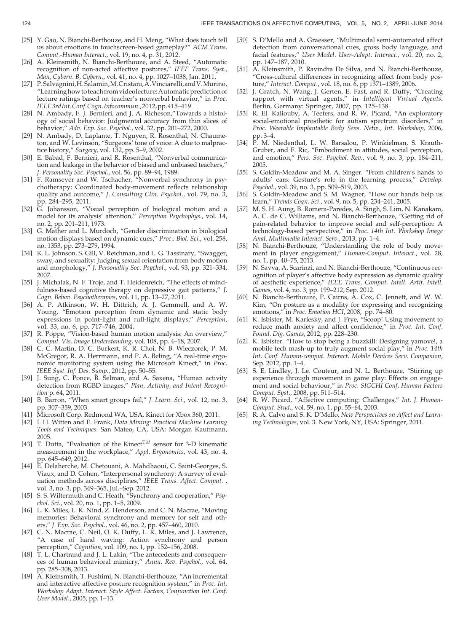- [25] Y. Gao, N. Bianchi-Berthouze, and H. Meng, "What does touch tell us about emotions in touchscreen-based gameplay?" ACM Trans. Comput.-Human Interact., vol. 19, no. 4, p. 31, 2012.
- [26] A. Kleinsmith, N. Bianchi-Berthouze, and A. Steed, "Automatic recognition of non-acted affective postures," IEEE Trans. Syst., Man, Cybern. B, Cybern., vol. 41, no. 4, pp. 1027–1038, Jan. 2011.
- [27] P.Salvagnini,H.Salamin,M.Cristani,A.Vinciarelli,andV.Murino, "Learning how to teach fromvideolecture:Automatic predictionof lecture ratings based on teacher's nonverbal behavior," in Proc. IEEE3rd Int.Conf.Cogn.Infocommun.,2012,pp.415–419.
- [28] N. Ambady, F. J. Bernieri, and J. A. Richeson,"Towards a histology of social behavior: Judgmental accuracy from thin slices of behavior," Adv. Exp. Soc. Psychol., vol. 32, pp. 201–272, 2000.
- [29] N. Ambady, D. Laplante, T. Nguyen, R. Rosenthal, N. Chaumeton, and W. Levinson, "Surgeons' tone of voice: A clue to malpractice history," Surgery, vol. 132, pp. 5–9, 2002.
- [30] E. Babad, F. Bernieri, and R. Rosenthal, "Nonverbal communication and leakage in the behavior of biased and unbiased teachers," J. Personality Soc. Psychol., vol. 56, pp. 89–94, 1989.
- [31] F. Ramseyer and W. Tschacher, "Nonverbal synchrony in psychotherapy: Coordinated body-movement reflects relationship quality and outcome," J. Consulting Clin. Psychol., vol. 79, no. 3, pp. 284–295, 2011.
- [32] G. Johansson, "Visual perception of biological motion and a model for its analysis' attention," Perception Psychophys., vol. 14, no. 2, pp. 201–211, 1973.
- [33] G. Mather and L. Murdoch, "Gender discrimination in biological motion displays based on dynamic cues," Proc.: Biol. Sci., vol. 258, no. 1353, pp. 273–279, 1994.
- [34] K. L. Johnson, S. Gill, V. Reichman, and L. G. Tassinary, "Swagger, sway, and sexuality: Judging sexual orientation from body motion and morphology," J. Personality Soc. Psychol., vol. 93, pp. 321–334, 2007.
- [35] J. Michalak, N. F. Troje, and T. Heidenreich, "The effects of mindfulness-based cognitive therapy on depressive gait patterns," J. Cogn. Behav. Psychotherapies, vol. 11, pp. 13–27, 2011.
- [36] A. P. Atkinson, W. H. Dittrich, A. J. Gemmell, and A. W. Young, "Emotion perception from dynamic and static body expressions in point-light and full-light displays," Perception, vol. 33, no. 6, pp. 717–746, 2004.
- [37] R. Poppe, "Vision-based human motion analysis: An overview," Comput. Vis. Image Understanding, vol. 108, pp. 4–18, 2007.
- [38] C. C. Martin, D. C. Burkert, K. R. Choi, N. B. Wieczorek, P. M. McGregor, R. A. Herrmann, and P. A. Beling, "A real-time ergonomic monitoring system using the Microsoft Kinect," in Proc. IEEE Syst. Inf. Des. Symp., 2012, pp. 50–55.
- [39] J. Sung, C. Ponce, B. Selman, and A. Saxena, "Human activity detection from RGBD images," Plan, Activity, and Intent Recognition p. 64, 2011.
- [40] B. Barron, "When smart groups fail," J. Learn. Sci., vol. 12, no. 3, pp. 307–359, 2003.
- [41] Microsoft Corp. Redmond WA, USA. Kinect for Xbox 360, 2011.
- [42] I. H. Witten and E. Frank, Data Mining: Practical Machine Learning Tools and Techniques. San Mateo, CA, USA: Morgan Kaufmann, 2005.
- [43] T. Dutta, "Evaluation of the Kinect<sup>TM</sup> sensor for 3-D kinematic measurement in the workplace," Appl. Ergonomics, vol. 43, no. 4, pp. 645–649, 2012.
- [44] E. Delaherche, M. Chetouani, A. Mahdhaoui, C. Saint-Georges, S. Viaux, and D. Cohen, "Interpersonal synchrony: A survey of evaluation methods across disciplines," IEEE Trans. Affect. Comput. , vol. 3, no. 3, pp. 349–365, Jul.–Sep. 2012.
- [45] S. S. Wiltermuth and C. Heath, "Synchrony and cooperation," Psychol. Sci., vol. 20, no. 1, pp. 1–5, 2009.
- [46] L. K. Miles, L. K. Nind, Z. Henderson, and C. N. Macrae, "Moving memories: Behavioral synchrony and memory for self and others," J. Exp. Soc. Psychol., vol. 46, no. 2, pp. 457–460, 2010.
- [47] C. N. Macrae, C. Neil, O. K. Duffy, L. K. Miles, and J. Lawrence, "A case of hand waving: Action synchrony and person perception," Cognition, vol. 109, no. 1, pp. 152–156, 2008.
- [48] T. L. Chartrand and J. L. Lakin, "The antecedents and consequences of human behavioral mimicry," Annu. Rev. Psychol., vol. 64, pp. 285–308, 2013.
- [49] A. Kleinsmith, T. Fushimi, N. Bianchi-Berthouze, "An incremental and interactive affective posture recognition system," in Proc. Int. Workshop Adapt. Interact. Style Affect. Factors, Conjunction Int. Conf. User Model., 2005, pp. 1–13.
- [50] S. D'Mello and A. Graesser, "Multimodal semi-automated affect detection from conversational cues, gross body language, and facial features," User Model. User-Adapt. Interact., vol. 20, no. 2, pp. 147–187, 2010.
- [51] A. Kleinsmith, P. Ravindra De Silva, and N. Bianchi-Berthouze, "Cross-cultural differences in recognizing affect from body posture," Interact. Comput., vol. 18, no. 6, pp 1371–1389, 2006.
- [52] J. Gratch, N. Wang, J. Gerten, E. Fast, and R. Duffy, "Creating rapport with virtual agents," in Intelligent Virtual Agents. Berlin, Germany: Springer, 2007, pp. 125–138.
- [53] R. El. Kaliouby, A. Teeters, and R. W. Picard, "An exploratory social-emotional prosthetic for autism spectrum disorders," in Proc. Wearable Implantable Body Sens. Netw., Int. Workshop, 2006, pp. 3–4.
- [54] P. M. Niedenthal, L. W. Barsalou, P. Winkielman, S. Krauth-Gruber, and F. Ric, "Embodiment in attitudes, social perception, and emotion," Pers. Soc. Psychol. Rev., vol. 9, no. 3, pp. 184–211, 2005.
- [55] S. Goldin-Meadow and M. A. Singer. "From children's hands to adults' ears: Gesture's role in the learning process," Develop. Psychol., vol. 39, no. 3, pp. 509–519, 2003.
- [56] S. Goldin-Meadow and S. M. Wagner, "How our hands help us learn," Trends Cogn. Sci., vol. 9, no. 5, pp. 234–241, 2005.
- [57] M. S. H. Aung, B. Romera-Paredes, A. Singh, S. Lim, N. Kanakam, A. C. de C. Williams, and N. Bianchi-Berthouze, "Getting rid of pain-related behavior to improve social and self-perception: A technology-based perspective," in Proc. 14th Int. Workshop Image Anal. Multimedia Interact. Serv., 2013, pp. 1–4.
- [58] N. Bianchi-Berthouze, "Understanding the role of body movement in player engagement," Human-Comput. Interact., vol. 28, no. 1, pp. 40–75, 2013.
- [59] N. Savva, A. Scarinzi, and N. Bianchi-Berthouze, "Continuous recognition of player's affective body expression as dynamic quality of aesthetic experience," IEEE Trans. Comput. Intell. Artif. Intell. Games, vol. 4, no. 3, pp. 199–212, Sep. 2012.
- [60] N. Bianchi-Berthouze, P. Cairns, A. Cox, C. Jennett, and W. W. Kim, "On posture as a modality for expressing and recognizing emotions," in Proc. Emotion HCI, 2008, pp. 74–80.
- [61] K. Isbister, M. Karlesky, and J. Frye, "Scoop! Using movement to reduce math anxiety and affect confidence," in Proc. Int. Conf. Found. Dig. Games, 2012, pp. 228–230.
- [62] K. Isbister. "How to stop being a buzzkill: Designing yamove!, a mobile tech mash-up to truly augment social play," in Proc. 14th Int. Conf. Human-comput. Interact. Mobile Devices Serv. Companion, Sep. 2012, pp. 1–4.
- [63] S. E. Lindley, J. Le. Couteur, and N. L. Berthouze, "Stirring up experience through movement in game play: Effects on engagement and social behaviour," in Proc. SIGCHI Conf. Human Factors Comput. Syst., 2008, pp. 511–514.
- [64] R. W. Picard, "Affective computing: Challenges," Int. J. Human-Comput. Stud., vol. 59, no. 1, pp. 55–64, 2003.
- [65] R. A. Calvo and S. K. D'Mello, New Perspectives on Affect and Learning Technologies, vol. 3. New York, NY, USA: Springer, 2011.